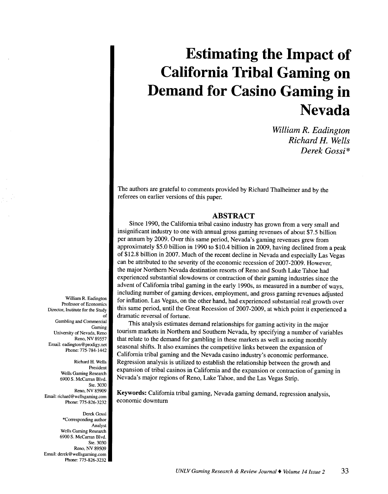# **Estimating the Impact of California Tribal Gaming on Demand for Casino Gaming in Nevada**

*William R. Eadington Richard H. Wells Derek Gossi* \*

The authors are grateful to comments provided by Richard Thalheimer and by the referees on earlier versions of this paper.

# **ABSTRACT**

Since 1990, the California tribal casino industry has grown from a very small and insignificant industry to one with annual gross gaming revenues of about \$7.5 billion per annum by 2009. Over this same period, Nevada's gaming revenues grew from approximately \$5.0 billion in 1990 to \$10.4 billion in 2009, having declined from a peak of \$12.8 billion in 2007. Much of the recent decline in Nevada and especially Las Vegas can be attributed to the severity of the economic recession of 2007-2009. However, the major Northern Nevada destination resorts of Reno and South Lake Tahoe had experienced substantial slowdowns or contraction of their gaming industries since the advent of California tribal gaming in the early 1990s, as measured in a number of ways, including number of gaming devices, employment, and gross gaming revenues adjusted for inflation. Las Vegas, on the other hand, had experienced substantial real growth over this same period, until the Great Recession of 2007-2009, at which point it experienced a dramatic reversal of fortune.

This analysis estimates demand relationships for gaming activity in the major tourism markets in Northern and Southern Nevada, by specifying a number of variables that relate to the demand for gambling in these markets as well as noting monthly seasonal shifts. It also examines the competitive links between the expansion of California tribal gaming and the Nevada casino industry's economic performance. Regression analysis is utilized to establish the relationship between the growth and expansion of tribal casinos in California and the expansion or contraction of gaming in Nevada's major regions of Reno, Lake Tahoe, and the Las Vegas Strip.

Keywords: California tribal gaming, Nevada gaming demand, regression analysis, economic downturn

William R. Eadington Professor of Economics Director, Institute for the Study of

Gambling and Commercial Gaming University of Nevada, Reno Reno, NV 89557 Email: eadington @prodigy. net Phone: 775-784-1442

Richard H. Wells President Wells Gaming Research 6900 S. McCarran Blvd. Ste. 3030 Reno, NV 85909 Email: richard@wellsgaming.com Phone: 775-826-3232

Derek Gossi \*Corresponding author Analyst Wells Gaming Research 6900 S. McCarran Blvd. Ste. 3030 Reno, NV 89509 Email: derek@wellsgaming.com Phone: 775-826-3232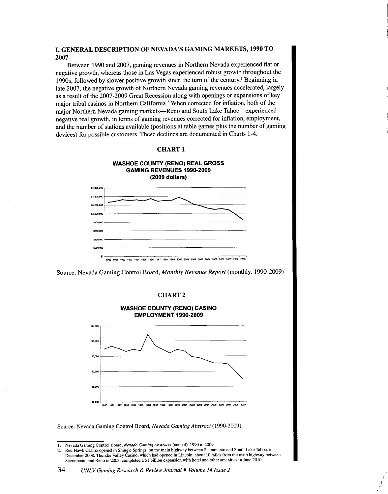## **I. GENERAL DESCRIPTION OF NEVADA'S GAMING MARKETS, 1990 TO 2007**

Between 1990 and 2007, gaming revenues in Northern Nevada experienced flat or negative growth, whereas those in Las Vegas experienced robust growth throughout the 1990s, followed by slower positive growth since the tum of the century.' Beginning in late 2007, the negative growth of Northern Nevada gaming revenues accelerated, largely as a result of the 2007-2009 Great Recession along with openings or expansions of key major tribal casinos in Northern Califomia.<sup>2</sup>When corrected for inflation, both of the major Northern Nevada gaming markets—Reno and South Lake Tahoe—experienced negative real growth, in terms of gaming revenues corrected for inflation, employment, and the number of stations available (positions at table games plus the number of gaming devices) for possible customers. These declines are documented in Charts 1-4.

#### **CHARTl**



Source: Nevada Gaming Control Board, *Monthly Revenue Report* (monthly, 1990-2009)

### **CHART2**



Source: Nevada Gaming Control Board, *Nevada Gaming Abstract* (1990-2009)

I I I

<sup>1.</sup> Nevada Gaming Control Board, *Nevada Gaming Abstracts* (annual), 1990 to 2009.

<sup>2.</sup> Red Hawk Casino opened in Shingle Springs, on the main highway between Sacramento and South Lake Tahoe, in December 2008. Thunder Valley Casino, which had opened in Lincoln, about 10 miles from the main highway between Sacramento and Reno in 2003, completed a \$1 billion expansion with hotel and other amenities in June 2010.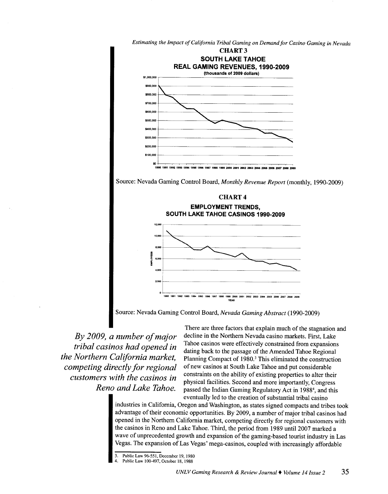

<sup>~</sup> <u>`</u>

*Estimating the Impact of California Tribal Gaming on Demand for Casino Gaming in Nevada* 



1990 1991 1992 1993 1994 1995 1996 1997 1998 1999 2000 2001 2002 2003 2004 2006 2007 2004 200



Source: Nevada Gaming Control Board, *Nevada Gaming Abstract* (1990-2009)

*By 2009, a number of major tribal casinos had opened in the Northern California market, competing directly for regional customers with the casinos in Reno and Lake Tahoe.* 

There are three factors that explain much of the stagnation and decline in the Northern Nevada casino markets. First, Lake Tahoe casinos were effectively constrained from expansions dating back to the passage of the Amended Tahoe Regional Planning Compact of 1980.<sup>3</sup> This eliminated the construction of new casinos at South Lake Tahoe and put considerable constraints on the ability of existing properties to alter their <sup>p</sup>hysical facilities. Second and more importantly, Congress passed the Indian Gaming Regulatory Act in 19884, and this eventually led to the creation of substantial tribal casino

industries in California, Oregon and Washington, as states signed compacts and tribes took advantage of their economic opportunities. By 2009, a number of major tribal casinos had opened in the Northern California market, competing directly for regional customers with the casinos in Reno and Lake Tahoe. Third, the period from 1989 until 2007 marked a wave of unprecedented growth and expansion of the gaming-based tourist industry in Las Vegas. The expansion ofLas Vegas' mega-casinos, coupled with increasingly affordable

\$400,000 \$300,000 \$200,000 \$100,000 \$0

<sup>3.</sup> Public Law 96-551, December 19, 1980

Public Law 100-497, October 18, 1988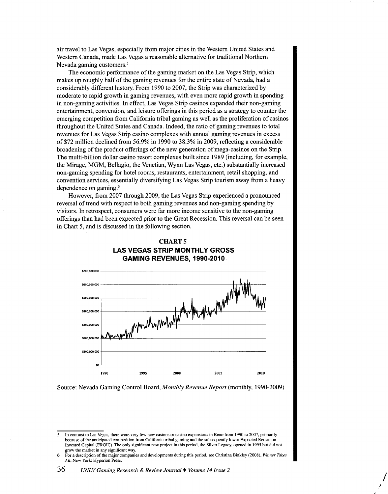air travel to Las Vegas, especially from major cities in the Western United States and Western Canada, made Las Vegas a reasonable alternative for traditional Northern Nevada gaming customers.<sup>5</sup>

The economic performance of the gaming market on the Las Vegas Strip, which makes up roughly half of the gaming revenues for the entire state of Nevada, had a considerably different history. From 1990 to 2007, the Strip was characterized by moderate to rapid growth in gaming revenues, with even more rapid growth in spending in non-gaming activities. In effect, Las Vegas Strip casinos expanded their non-gaming entertainment, convention, and leisure offerings in this period as a strategy to counter the emerging competition from California tribal gaming as well as the proliferation of casinos throughout the United States and Canada. Indeed, the ratio of gaming revenues to total revenues for Las Vegas Strip casino complexes with annual gaming revenues in excess of\$72 million declined from 56.9% in 1990 to 38.3% in 2009, reflecting a considerable broadening of the product offerings of the new generation of mega-casinos on the Strip. The multi-billion dollar casino resort complexes built since 1989 (including, for example, the Mirage, MGM, Bellagio, the Venetian, Wynn Las Vegas, etc.) substantially increased non-gaming spending for hotel rooms, restaurants, entertainment, retail shopping, and convention services, essentially diversifying Las Vegas Strip tourism away from a heavy dependence on gaming.6

However, from 2007 through 2009, the Las Vegas Strip experienced a pronounced reversal of trend with respect to both gaming revenues and non-gaming spending by visitors. In retrospect, consumers were far more income sensitive to the non-gaming offerings than had been expected prior to the Great Recession. This reversal can be seen in Chart 5, and is discussed in the following section.



# **CHARTS LAS VEGAS STRIP MONTHLY GROSS GAMING REVENUES, 1990-2010**

Source: Nevada Gaming Control Board, *Monthly Revenue Report* (monthly, 1990-2009)

I

<sup>5.</sup> In contrast to Las Vegas, there were very few new casinos or casino expansions in Reno from 1990 to 2007, primarily because of the anticipated competition from California tribal gaming and the subsequently lower Expected Return on Invested Capital (EROIC). The only significant new project in this period, the Silver Legacy, opened in 1995 but did not grow the market in any significant way.

<sup>6</sup> For a description of the major companies and developments during this period, see Christina Binkley (2008), *Winner Takes All,* New York: Hyperion Press.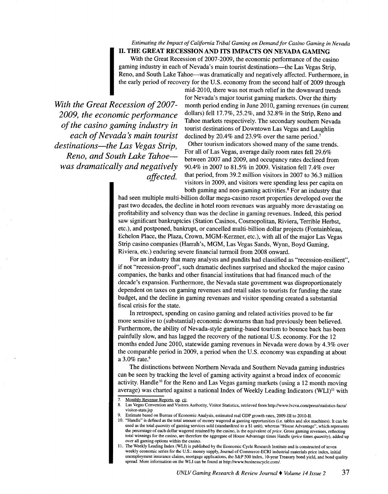*Estimating the Impact of California Tribal Gaming on Demand for Casino Gaming in Nevada* 

II. THE GREAT RECESSION AND ITS IMPACTS ON NEVADA GAMING With the Great Recession of 2007-2009, the economic performance of the casino gaming industry in each of Nevada's main tourist destinations-the Las Vegas Strip, Reno, and South Lake Tahoe--was dramatically and negatively affected. Furthermore, in the early period of recovery for the U.S. economy from the second half of 2009 through

*With the Great Recession of 2007-2009, the economic performance of the casino gaming industry in each of Nevada s main tourist destinations-the Las Vegas Strip, Reno, and South Lake Tahoewas dramatically and negatively affected.* 

mid-2010, there was not much relief in the downward trends for Nevada's major tourist gaming markets. Over the thirty month period ending in June 2010, gaming revenues (in current dollars) fell  $17.7\%$ ,  $25.2\%$ , and  $32.8\%$  in the Strip, Reno and Tahoe markets respectively. The secondary southern Nevada tourist destinations of Downtown Las Vegas and Laughlin declined by 20.4% and 23.9% over the same period.<sup>7</sup> Other tourism indicators showed many of the same trends. For all of Las Vegas, average daily room rates fell 29.6% between 2007 and 2009, and occupancy rates declined from 90.4% in 2007 to 81.5% in 2009. Visitation fell 7.4% over that period, from 39.2 million visitors in 2007 to 36.3 million visitors in 2009, and visitors were spending less per capita on both gaming and non-gaming activities.<sup>8</sup> For an industry that

had seen multiple multi-billion dollar mega-casino resort properties developed over the past two decades, the decline in hotel room revenues was arguably more devastating on profitability and solvency than was the decline in gaming revenues. Indeed, this period saw significant bankruptcies (Station Casinos, Cosmopolitan, Riviera, Terrible Herbst, etc.), and postponed, bankrupt, or cancelled multi-billion dollar projects (Fontainbleau, Echelon Place, the Plaza, Crown, MGM-Kerzner, etc.), with all of the major Las Vegas Strip casino companies (Harrah's, MGM, Las Vegas Sands, Wynn, Boyd Gaming, Riviera, etc.) enduring severe financial turmoil from 2008 onward.

For an industry that many analysts and pundits had classified as "recession-resilient", if not "recession-proof', such dramatic declines surprised and shocked the major casino companies, the banks and other financial institutions that had financed much of the decade's expansion. Furthermore, the Nevada state government was disproportionately dependent on taxes on gaming revenues and retail sales to tourists for funding the state budget, and the decline in gaming revenues and visitor spending created a substantial fiscal crisis for the state.

In retrospect, spending on casino gaming and related activities proved to be far more sensitive to (substantial) economic downturns than had previously been believed. Furthermore, the ability of Nevada-style gaming-based tourism to bounce back has been painfully slow, and has lagged the recovery of the national U.S. economy. For the <sup>12</sup> months ended June 2010, statewide gaming revenues in Nevada were down by 4.3% over the comparable period in 2009, a period when the U.S. economy was expanding at about a 3.0% rate.<sup>9</sup>

The distinctions between Northern Nevada and Southern Nevada gaming industries can be seen by tracking the level of gaming activity against a broad index of economic activity. Handle<sup>10</sup> for the Reno and Las Vegas gaming markets (using a 12 month moving average) was charted against a national Index of Weekly Leading Indicators (WLI)<sup>11</sup> with

<sup>7.</sup> Monthly Revenue Reports, op. cit.

<sup>8.</sup> Las Vegas Convention and Visitors Authority, Visitor Statistics, retrieved from http://www.lvcva.com/press/statistics-facts/ visitor-stats.jsp

<sup>9.</sup> Estimate based on Bureau of Economic Analysis, estimated real GOP growth rates, 2009-III to 2010-II.

<sup>10. &</sup>quot;Handle" is defined as the total amount of money wagered at gaming opportunities (i.e. tables and slot machines). It can be used as the total *quantity* of gaming services sold (standardized to a \$1 unit), whereas "House Advantage", which represents the percentage of each dollar wagered retained by the casino, is the equivalent of *price.* Gross gaming revenues, reflecting total winnings for the casino, are therefore the aggregate of House Advantage times Handle *(price* times *quantity),* added up over all gaming options within the casino.

II. The Weekly Leading Index (WLI) is published by the Economic Cycle Research Institute and is constructed of seven weekly economic series for the U.S.: money supply, Journal of Commerce-ECRI industrial materials price index, initial unemployment insurance claims, mortgage applications, the S&P 500 index, 10-year Treasury bond yield, and bond quality spread. More information on the WLI can be found at http://www.businesscycle.com/.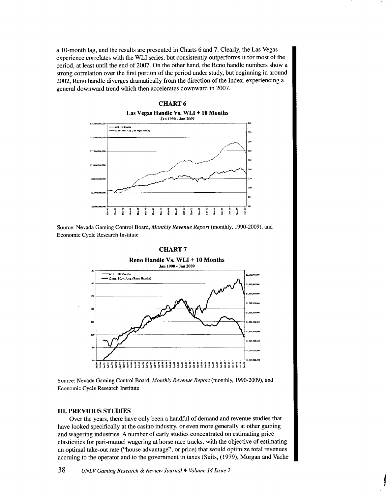a 10-month lag, and the results are presented in Charts 6 and 7. Clearly, the Las Vegas experience correlates with the WLI series, but consistently outperforms it for most of the period, at least until the end of 2007. On the other hand, the Reno handle numbers show a strong correlation over the first portion of the period under study, but beginning in around 2002, Reno handle diverges dramatically from the direction of the Index, experiencing a general downward trend which then accelerates downward in 2007.



Source: Nevada Gaming Control Board, *Monthly Revenue Report* (monthly, 1990-2009), and Economic Cycle Research Institute

#### CHART<sub>7</sub>



Source: Nevada Gaming Control Board, *Monthly Revenue Report* (monthly, 1990-2009), and Economic Cycle Research Institute

#### III. PREVIOUS STUDIES

Over the years, there have only been a handful of demand and revenue studies that have looked specifically at the casino industry, or even more generally at other gaming and wagering industries. A number of early studies concentrated on estimating price elasticities for pari-mutuel wagering at horse race tracks, with the objective of estimating an optimal take-out rate ("house advantage", or price) that would optimize total revenues accruing to the operator and to the government in taxes (Suits, ( 1979), Morgan and Vache

f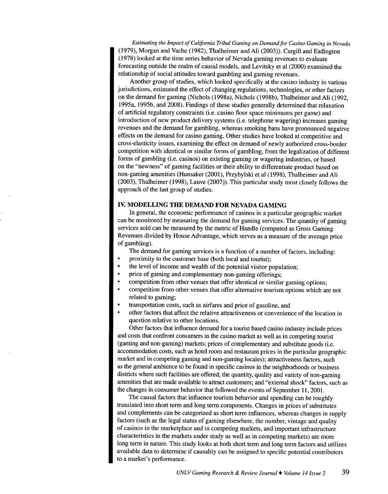*Estimating the Impact of California Tribal Gaming on Demand for Casino Gaming in Nevada*  (1979), Morgan and Vache (1982), Thalheimer and Ali (2003)). Cargill and Eadington (1978) looked at the time-series behavior of Nevada gaming revenues to evaluate forecasting outside the realm of causal models, and Levitsky et al (2000) examined the relationship of social attitudes toward gambling and gaming revenues.

Another group of studies, which looked specifically at the casino industry in various jurisdictions, estimated the effect of changing regulations, technologies, or other factors on the demand for gaming (Nichols (1998a), Nichols (1998b), Thalheimer and Ali (1992, 1995a, 1995b, and 2008). Findings of these studies generally determined that relaxation of artificial regulatory constraints (i.e. casino floor space minimums per game) and introduction of new product delivery systems (i.e. telephone wagering) increases gaming revenues and the demand for gambling, whereas smoking bans have pronounced negative effects on the demand for casino gaming. Other studies have looked at competitive and cross-elasticity issues, examining the effect on demand of newly authorized cross-border competition with identical or similar forms of gambling, from the legalization of different forms of gambling (i.e. casinos) on existing gaming or wagering industries, or based on the "newness" of gaming facilities or their ability to differentiate product based on non-gaming amenities (Hunsaker (2001), Przybylski et al (1998), Thalheimer and Ali (2003), Thalheimer (1998), Lauve (2007)). This particular study most closely follows the approach of the last group of studies.

## **IV. MODELLING THE DEMAND FOR NEVADA GAMING**

In general, the economic performance of casinos in a particular geographic market can be monitored by measuring the demand for gaming services. The quantity of gaming services sold can be measured by the metric of Handle (computed as Gross Gaming Revenues divided by House Advantage, which serves as a measure of the average price of gambling).

The demand for gaming services is a function of a number of factors, including:

- proximity to the customer base (both local and tourist);
- the level of income and wealth of the potential visitor population;
- price of gaming and complementary non-gaming offerings;
- competition from other venues that offer identical or similar gaming options;
- competition from other venues that offer alternative tourism options which are not related to gaming;
- transportation costs, such as airfares and price of gasoline, and
- other factors that affect the relative attractiveness or convenience of the location in question relative to other locations.

Other factors that influence demand for a tourist based casino industry include prices and costs that confront consumers in the casino market as well as in competing tourist (gaming and non-gaming) markets; prices of complementary and substitute goods (i.e. accommodation costs, such as hotel room and restaurant prices in the particular geographic market and in competing gaming and non-gaming locales); attractiveness factors, such as the general ambience to be found in specific casinos in the neighborhoods or business districts where such facilities are offered; the quantity, quality and variety of non-gaming amenities that are made available to attract customers; and "external shock" factors, such as the changes in consumer behavior that followed the events of September 11, 2001.

The causal factors that influence tourism behavior and spending can be roughly translated into short term and long term components. Changes in prices of substitutes and complements can be categorized as short term influences, whereas changes in supply factors (such as the legal status of gaming elsewhere, the number, vintage and quality of casinos in the marketplace and in competing markets, and important infrastructure characteristics in the markets under study as well as in competing markets) are more long term in nature. This study looks at both short term and long term factors and utilizes available data to determine if causality can be assigned to specific potential contributors to a market's performance.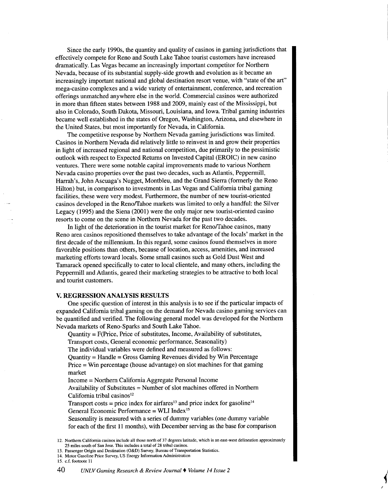Since the early 1990s, the quantity and quality of casinos in gaming jurisdictions that effectively compete for Reno and South Lake Tahoe tourist customers have increased dramatically. Las Vegas became an increasingly important competitor for Northern Nevada, because of its substantial supply-side growth and evolution as it became an increasingly important national and global destination resort venue, with "state of the art" mega-casino complexes and a wide variety of entertainment, conference, and recreation offerings unmatched anywhere else in the world. Commercial casinos were authorized in more than fifteen states between 1988 and 2009, mainly east of the Mississippi, but also in Colorado, South Dakota, Missouri, Louisiana, and Iowa. Tribal gaming industries became well established in the states of Oregon, Washington, Arizona, and elsewhere in the United States, but most importantly for Nevada, in California.

The competitive response by Northern Nevada gaming jurisdictions was limited. Casinos in Northern Nevada did relatively little to reinvest in and grow their properties in light of increased regional and national competition, due primarily to the pessimistic outlook with respect to Expected Returns on Invested Capital (EROIC) in new casino ventures. There were some notable capital improvements made to various Northern Nevada casino properties over the past two decades, such as Atlantis, Pepperrnill, Harrah's, John Ascuaga's Nugget, Montbleu, and the Grand Sierra (formerly the Reno Hilton) but, in comparison to investments in Las Vegas and California tribal gaming facilities, these were very modest. Furthermore, the number of new tourist-oriented casinos developed in the Renoffahoe markets was limited to only a handful: the Silver Legacy (1995) and the Siena (2001) were the only major new tourist-oriented casino resorts to come on the scene in Northern Nevada for the past two decades.

In light of the deterioration in the tourist market for Reno/Tahoe casinos, many Reno area casinos repositioned themselves to take advantage of the locals' market in the first decade of the millennium. In this regard, some casinos found themselves in more favorable positions than others, because of location, access, amenities, and increased marketing efforts toward locals. Some small casinos such as Gold Dust West and Tamarack opened specifically to cater to local clientele, and many others, including the Pepperrnill and Atlantis, geared their marketing strategies to be attractive to both local and tourist customers.

### **V. REGRESSION ANALYSIS RESULTS**

One specific question of interest in this analysis is to see if the particular impacts of expanded California tribal gaming on the demand for Nevada casino gaming services can be quantified and verified. The following general model was developed for the Northern Nevada markets of Reno-Sparks and South Lake Tahoe.

Quantity = F(Price, Price of substitutes, Income, Availability of substitutes,

Transport costs, General economic performance, Seasonality)

The individual variables were defined and measured as follows:

 $Quantiv = Handle = Gross$  Gaming Revenues divided by Win Percentage

Price = Win percentage (house advantage) on slot machines for that gaming market

Income =Northern California Aggregate Personal Income

Availability of Substitutes = Number of slot machines offered in Northern California tribal casinos $12$ 

Transport costs = price index for airfares<sup>13</sup> and price index for gasoline<sup>14</sup> General Economic Performance = WLI Index <sup>15</sup>

Seasonality is measured with a series of dummy variables (one dummy variable for each of the first **11** months), with December serving as the base for comparison

- 13. Passenger Origin and Destination (O&D) Survey, Bureau of Transportation Statistics.
- 14. Motor Gasoline Price Survey, US Energy Information Administration 15. c.f. footnote 11
- 

<sup>12.</sup> Northern California casinos include all those north of 37 degrees latitude, which is an east-west delineation approximately 25 miles south of San Jose. This includes a total of 28 tribal casinos.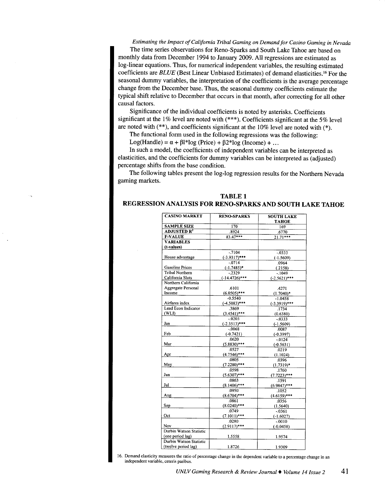*Estimating the Impact of California Tribal Gaming on Demand for Casino Gaming in Nevada*  The time series observations for Reno-Sparks and South Lake Tahoe are based on monthly data from December 1994 to January 2009. All regressions are estimated as log-linear equations. Thus, for numerical independent variables, the resulting estimated coefficients are *BLUE* (Best Linear Unbiased Estimates) of demand elasticities.<sup>16</sup> For the seasonal dummy variables, the interpretation of the coefficients is the average percentage change from the December base. Thus, the seasonal dummy coefficients estimate the typical shift relative to December that occurs in that month, after correcting for all other causal factors.

Significance of the individual coefficients is noted by asterisks. Coefficients significant at the 1% level are noted with  $(***)$ . Coefficients significant at the 5% level are noted with (\*\*), and coefficients significant at the 10% level are noted with (\*).

The functional form used in the following regressions was the following:

Log(Handle) =  $\alpha$  +  $\beta$ l\*log (Price) +  $\beta$ 2\*log (Income) + ...

In such a model, the coefficients of independent variables can be interpreted as elasticities, and the coefficients for dummy variables can be interpreted as (adjusted) percentage shifts from the base condition.

The following tables present the log-log regression results for the Northern Nevada gaming markets.

## **TABLE 1 REGRESSION ANALYSIS FOR RENO-SPARKS AND SOUTH LAKE TAHOE**

| <b>CASINO MARKET</b>                                | <b>RENO-SPARKS</b> | <b>SOUTH LAKE</b> |
|-----------------------------------------------------|--------------------|-------------------|
|                                                     |                    | <b>TAHOE</b>      |
| <b>SAMPLE SIZE</b><br><b>ADJUSTED R<sup>2</sup></b> | 170                | 169               |
| <b>F-VALUE</b>                                      | .8924              | .6770             |
|                                                     | $83.47***$         | $21.71***$        |
| <b>VARIABLES</b><br>(t-values)                      |                    |                   |
|                                                     | $-7104$            |                   |
| House advantage                                     | $(-3.9317)***$     | $-0.333$          |
|                                                     | $-0714$            | $(-1.5609)$       |
| <b>Gasoline Prices</b>                              | $(-1.7485)^*$      | .0964<br>(.2158)  |
| Tribal Northern                                     | $-2329$            | $-1049$           |
| California Slots                                    | $(-14.4726)$ ***   | $(-2.5621)$ ***   |
| Northern California                                 |                    |                   |
| Aggregate Personal                                  | .6101              | 4271              |
| Income                                              | $(6.0505)***$      | $(1.7040)*$       |
|                                                     | $-0.5540$          | $-1.0458$         |
| Airfares index                                      | $(-4.5083)$ ***    | $(-3.3919)$ ***   |
| Lead Econ Indicator                                 | .3869              | .1734             |
| (WLI)                                               | $(3.4541)***$      | (0.6380)          |
|                                                     | $-0.0203$          | $-0.333$          |
| Jan                                                 | $(-2.3513)***$     | $(-1.5609)$       |
|                                                     | $-0.068$           | .0087             |
| Feb                                                 | $(-0.7421)$        | $(-0.3997)$       |
|                                                     | .0620              | $-0124$           |
| Mar                                                 | $(5.8830)***$      | $(-0.5631)$       |
|                                                     | .0527              | .0219             |
| Apr                                                 | $(4.7546)$ ***     | (1.1024)          |
|                                                     | .0805              | .0396             |
| May                                                 | $(7.2280)$ ***     | $(1.7319)*$       |
|                                                     | .0598              | .1760             |
| Jun                                                 | $(5.6307)***$      | $(7.7223)$ ***    |
|                                                     | .0863              | .1591             |
| Jul                                                 | $(8.1406)$ ***     | $(6.9847)$ ***    |
|                                                     | .0950              | .1052             |
| Aug                                                 | $(8.6704)***$      | $(4.6159)$ ***    |
|                                                     | .0861              | .0356             |
| Sep                                                 | $(8.0240)$ ***     | (1.5640)          |
|                                                     | .0749              | $-0.0361$         |
| Oct                                                 | $(7.1011)***$      | $(-1.6027)$       |
|                                                     | .0280              | $-0010$           |
| Nov<br>Durbin Watson Statistic                      | $(2.9117)***$      | $(-0.0458)$       |
|                                                     |                    |                   |
| (one period lag)                                    | 1.5558             | 1.9574            |
| Durbin Watson Statistic                             |                    |                   |
| (twelve period lag)                                 | 1.8726             | 1.9309            |

16. Demand elasticity measures the ratio of percentage change in the dependent variable to a percentage change in an independent variable, ceteris paribus.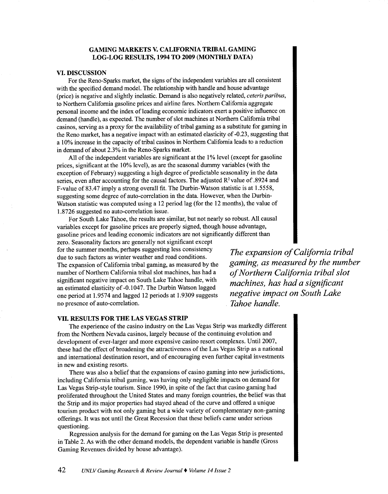### **GAMING MARKETS V. CALIFORNIA TRIBAL GAMING** LOG-LOG RESULTS, 1994 TO 2009 (MONTHLY DATA)

#### VI. DISCUSSION

For the Reno-Sparks market, the signs of the independent variables are all consistent with the specified demand model. The relationship with handle and house advantage (price) is negative and slightly inelastic. Demand is also negatively related, *ceteris paribus,*  to Northern California gasoline prices and airline fares. Northern California aggregate personal income and the index of leading economic indicators exert a positive influence on demand (handle), as expected. The number of slot machines at Northern California tribal casinos, serving as a proxy for the availability of tribal gaming as a substitute for gaming in the Reno market, has a negative impact with an estimated elasticity of -0.23, suggesting that a 10% increase in the capacity of tribal casinos in Northern California leads to a reduction in demand of about 2.3% in the Reno-Sparks market.

All of the independent variables are significant at the 1% level (except for gasoline prices, significant at the 10% level), as are the seasonal dummy variables (with the exception of February) suggesting a high degree of predictable seasonality in the data series, even after accounting for the causal factors. The adjusted R<sup>2</sup> value of .8924 and F-value of83.47 imply a strong overall fit. The Durbin-Watson statistic is at 1.5558, suggesting some degree of auto-correlation in the data. However, when the Durbin-Watson statistic was computed using a 12 period lag (for the 12 months), the value of 1.8726 suggested no auto-correlation issue.

For South Lake Tahoe, the results are similar, but not nearly so robust. All causal variables except for gasoline prices are properly signed, though house advantage, gasoline prices and leading economic indicators are not significantly different than

zero. Seasonality factors are generally not significant except for the summer months, perhaps suggesting less consistency due to such factors as winter weather and road conditions. The expansion of California tribal gaming, as measured by the number of Northern California tribal slot machines, has had a significant negative impact on South Lake Tahoe handle, with an estimated elasticity of -0.1047. The Durbin Watson lagged one period at 1.9574 and lagged 12 periods at 1.9309 suggests no presence of auto-correlation.

*The expansion of California tribal gaming, as measured by the number ofNorthern California tribal slot machines, has had a significant negative impact on South Lake Tahoe handle.* 

#### VII. RESULTS FOR THE LAS VEGAS STRIP

The experience of the casino industry on the Las Vegas Strip was markedly different from the Northern Nevada casinos, largely because of the continuing evolution and development of ever-larger and more expensive casino resort complexes. Until 2007, these had the effect of broadening the attractiveness of the Las Vegas Strip as a national and international destination resort, and of encouraging even further capital investments in new and existing resorts.

There was also a belief that the expansions of casino gaming into new jurisdictions, including California tribal gaming, was having only negligible impacts on demand for Las Vegas Strip-style tourism. Since 1990, in spite of the fact that casino gaming had proliferated throughout the United States and many foreign countries, the belief was that the Strip and its major properties had stayed ahead of the curve and offered a unique tourism product with not only gaming but a wide variety of complementary non-gaming offerings. It was not until the Great Recession that these beliefs came under serious questioning.

Regression analysis for the demand for gaming on the Las Vegas Strip is presented in Table 2. As with the other demand models, the dependent variable is handle (Gross Gaming Revenues divided by house advantage).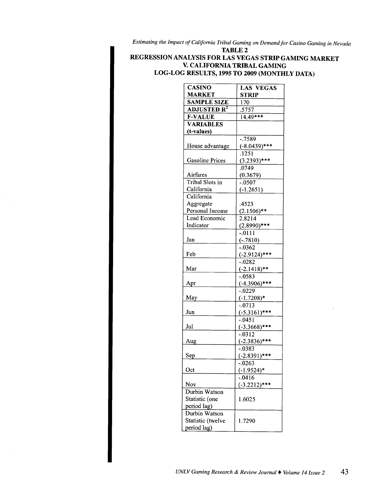*Estimating the Impact of California Tribal Gaming on Demand for Casino Gaming in Nevada*  TABLE<sub>2</sub>

# REGRESSION ANALYSIS FOR LAS VEGAS STRIP GAMING MARKET V. CALIFORNIA TRIBAL GAMING LOG-LOG RESULTS, 1995 TO 2009 (MONTHLY DATA)

| <b>CASINO</b>                 | <b>LAS VEGAS</b>    |  |
|-------------------------------|---------------------|--|
| <b>MARKET</b>                 | <b>STRIP</b>        |  |
| <b>SAMPLE SIZE</b>            | 170                 |  |
| <b>ADJUSTED R<sup>2</sup></b> | .5757               |  |
| <b>F-VALUE</b>                | $14.49***$          |  |
| <b>VARIABLES</b>              |                     |  |
| (t-values)                    |                     |  |
|                               | $-0.7589$           |  |
| House advantage               | $(-8.0439)$ ***     |  |
|                               | $.12\overline{51}$  |  |
| <b>Gasoline Prices</b>        | $(3.2393)$ ***      |  |
|                               | .0749               |  |
| Airfares                      | (0.3679)            |  |
| Tribal Slots in               | $-.0507$            |  |
| California                    | $(-1.2651)$         |  |
| California                    |                     |  |
| Aggregate                     | .4523               |  |
| Personal Income               | $(2.1506)$ **       |  |
| Lead Economic                 | $2.821\overline{4}$ |  |
| Indicator                     | $(2.8990)$ ***      |  |
|                               | $-0111$             |  |
| Jan                           | $(-.7810)$          |  |
|                               | $-0.0362$           |  |
| Feb                           | $(-2.9124)$ ***     |  |
|                               | $-.0282$            |  |
| Mar                           | $(-2.1418)$ **      |  |
|                               | $-0.0583$           |  |
| Apr                           | $(-4.3906)$ ***     |  |
|                               | $-0.0229$           |  |
| May                           | $(-1.7208)*$        |  |
|                               | $-.0713$            |  |
| Jun                           | $(-5.3161)$ ***     |  |
|                               | $-0.0451$           |  |
| Jul                           | $(-3.3668)$ ***     |  |
|                               | $-0.0312$           |  |
| Aug                           | $(-2.3836)$ ***     |  |
|                               | $-.0383$            |  |
| Sep                           | $(-2.8391)$ ***     |  |
|                               | $-0.0263$           |  |
| Oct                           | $(-1.9524)*$        |  |
|                               | -.0416              |  |
| Nov                           | $(-3.2212)$ ***     |  |
| Durbin Watson                 |                     |  |
| Statistic (one                | 1.6025              |  |
| period lag)                   |                     |  |
| Durbin Watson                 |                     |  |
| Statistic (twelve             | 1.7290              |  |
| period lag)                   |                     |  |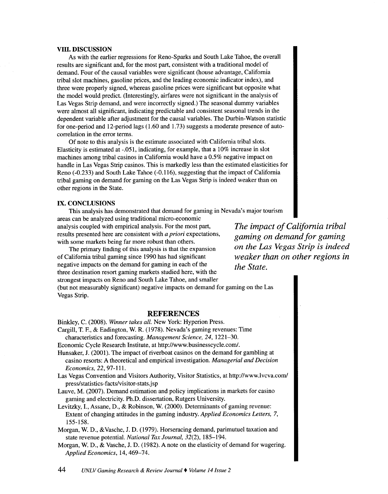#### VIII. DISCUSSION

As with the earlier regressions for Reno-Sparks and South Lake Tahoe, the overall results are significant and, for the most part, consistent with a traditional model of demand. Four of the causal variables were significant (house advantage, California tribal slot machines, gasoline prices, and the leading economic indicator index), and three were properly signed, whereas gasoline prices were significant but opposite what the model would predict. (Interestingly, airfares were not significant in the analysis of Las Vegas Strip demand, and were incorrectly signed.) The seasonal dummy variables were almost all significant, indicating predictable and consistent seasonal trends in the dependent variable after adjustment for the causal variables. The Durbin-Watson statistic for one-period and 12-period lags (1.60 and 1.73) suggests a moderate presence of autocorrelation in the error terms.

Of note to this analysis is the estimate associated with California tribal slots. Elasticity is estimated at  $-0.051$ , indicating, for example, that a  $10\%$  increase in slot machines among tribal casinos in California would have a 0.5% negative impact on handle in Las Vegas Strip casinos. This is markedly less than the estimated elasticities for Reno (-0.233) and South Lake Tahoe (-0.116), suggesting that the impact of California tribal gaming on demand for gaming on the Las Vegas Strip is indeed weaker than on other regions in the State.

#### IX. CONCLUSIONS

This analysis has demonstrated that demand for gaming in Nevada's major tourism areas can be analyzed using traditional micro-economic

analysis coupled with empirical analysis. For the most part, results presented here are consistent with *a priori* expectations, with some markets being far more robust than others.

The primary finding of this analysis is that the expansion of California tribal gaming since 1990 has had significant negative impacts on the demand for gaming in each of the three destination resort gaming markets studied here, with the strongest impacts on Reno and South Lake Tahoe, and smaller *The impact of California tribal gaming on demand for gaming on the Las Vegas Strip is indeed weaker than on other regions in the State.* 

(but not measurably significant) negative impacts on demand for gaming on the Las Vegas Strip.

## **REFERENCES**

Binkley, C. (2008). *Winner takes all.* New York: Hyperion Press.

Cargill, T. F., & Eadington, W. R. (1978). Nevada's gaming revenues: Time characteristics and forecasting. *Management Science, 24,* 1221-30.

Economic Cycle Research Institute, at http://www.businesscycle.com/.

- Hunsaker, J. (2001). The impact of riverboat casinos on the demand for gambling at casino resorts: A theoretical and empirical investigation. *Managerial and Decision Economics,* 22,97-111.
- Las Vegas Convention and Visitors Authority, Visitor Statistics, at http://www.lvcva.com/ press/statistics-facts/visitor-stats.j sp
- Lauve, M. (2007). Demand estimation and policy implications in markets for casino gaming and electricity. Ph.D. dissertation, Rutgers University.
- Levitzky, 1., Assane, D., & Robinson, W. (2000). Determinants of gaming revenue: Extent of changing attitudes in the gaming industry. *Applied Economics Letters,* 7, 155-158.
- Morgan, W. D., &Vasche, J.D. (1979). Horseracing demand, parimutuel taxation and state revenue potential. *National Tax Journal,* 32(2), 185-194.
- Morgan, W. D., & Vasche, J.D. (1982). A note on the elasticity of demand for wagering. *Applied Economics,* 14,469-74.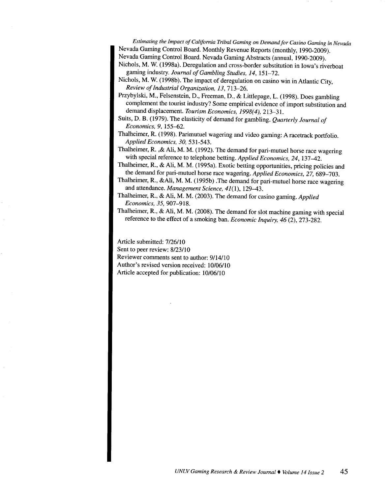*Estimating the Impact of California Tribal Gaming on Demand for Casino Gaming in Nevada*  Nevada Gaming Control Board. Monthly Revenue Reports (monthly, 1990-2009). Nevada Gaming Control Board. Nevada Gaming Abstracts (annual, 1990-2009).

- Nichols, M. W. (1998a). Deregulation and cross-border substitution in Iowa's riverboat gaming industry. *Journal of Gambling Studies, 14,* 151-72.
- Nichols, M. W. (1998b). The impact of deregulation on casino win in Atlantic City, *Review of Industrial Organization, 13,* 713-26.
- Przybylski, M., Felsenstein, D., Freeman, D., & Littlepage, L. (1998). Does gambling complement the tourist industry? Some empirical evidence of import substitution and demand displacement. *Tourism Economics, 1998(4),* 213-31.
- Suits, D. B. (1979). The elasticity of demand for gambling. *Quarterly Journal of Economics, 9,* 155-62.
- Thalheimer, R. (1998). Parimutuel wagering and video gaming: A racetrack portfolio. *Applied Economics, 30,* 531-543.

Thalheimer, R. ,& Ali, M. M. (1992). The demand for pari-mutuel horse race wagering with special reference to telephone betting. *Applied Economics, 24,* 137-42.

- Thalheimer, R., & Ali, M. M. (1995a). Exotic betting opportunities, pricing policies and the demand for pari-mutuel horse race wagering. *Applied Economics, 27,* 689-703.
- Thalheimer, R., &Ali, M. M. (1995b) .The demand for pari-mutuel horse race wagering and attendance. *Management Science, 41(1),* 129-43.
- Thalheimer, R., & Ali, M. M. (2003). The demand for casino gaming. *Applied Economics, 35,* 907-918.
- Thalheimer, R., & Ali, M. M. (2008). The demand for slot machine gaming with special reference to the effect of a smoking ban. *Economic Inquiry, 46* (2), 273-282.

Article submitted: 7/26/10 Sent to peer review: 8/23/10 Reviewer comments sent to author: 9114/10 Author's revised version received: 10/06/10 Article accepted for publication: 10/06/10